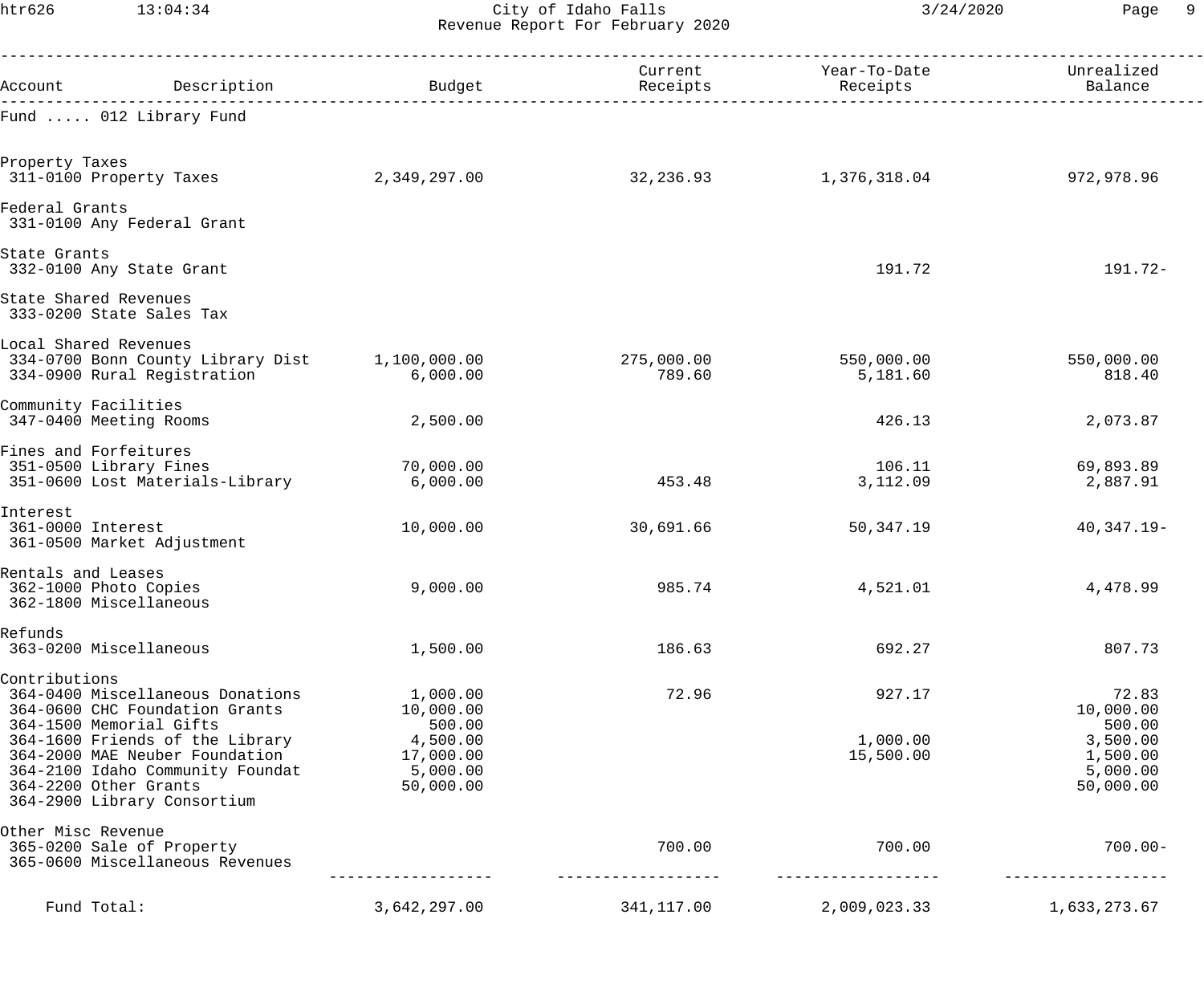htr626 13:04:34 City of Idaho Falls 3/24/2020 Page 9 Revenue Report For February 2020

|                                                                       | Account Description                                                                                   | Budget                                      | Receipts             | Current Year-To-Date<br>Receipts | Unrealized<br>Balance                    |
|-----------------------------------------------------------------------|-------------------------------------------------------------------------------------------------------|---------------------------------------------|----------------------|----------------------------------|------------------------------------------|
|                                                                       | Fund  012 Library Fund                                                                                |                                             |                      |                                  |                                          |
| Property Taxes<br>311-0100 Property Taxes                             |                                                                                                       | 2,349,297.00                                | 32,236.93            | 1,376,318.04                     | 972,978.96                               |
| Federal Grants                                                        | 331-0100 Any Federal Grant                                                                            |                                             |                      |                                  |                                          |
| State Grants<br>332-0100 Any State Grant                              |                                                                                                       |                                             |                      | 191.72                           | 191.72-                                  |
| State Shared Revenues<br>333-0200 State Sales Tax                     |                                                                                                       |                                             |                      |                                  |                                          |
| Local Shared Revenues                                                 | 334-0700 Bonn County Library Dist 1,100,000.00<br>334-0900 Rural Registration                         | 6,000.00                                    | 275,000.00<br>789.60 | 550,000.00<br>5,181.60           | 550,000.00<br>818.40                     |
| Community Facilities<br>347-0400 Meeting Rooms                        |                                                                                                       | 2,500.00                                    |                      | 426.13                           | 2,073.87                                 |
| Fines and Forfeitures<br>351-0500 Library Fines                       | 351-0600 Lost Materials-Library                                                                       | 70,000.00<br>6,000.00                       | 453.48               | 106.11<br>3,112.09               | 69,893.89<br>2,887.91                    |
| Interest<br>361-0000 Interest                                         | 361-0500 Market Adjustment                                                                            | 10,000.00                                   | 30,691.66            | 50,347.19                        | $40,347.19-$                             |
| Rentals and Leases<br>362-1000 Photo Copies<br>362-1800 Miscellaneous |                                                                                                       | 9,000.00                                    | 985.74               | 4,521.01                         | 4,478.99                                 |
| Refunds<br>363-0200 Miscellaneous                                     |                                                                                                       | 1,500.00                                    | 186.63               | 692.27                           | 807.73                                   |
| Contributions<br>364-1500 Memorial Gifts                              | 364-0400 Miscellaneous Donations<br>364-0600 CHC Foundation Grants<br>364-1600 Friends of the Library | 1,000.00<br>10,000.00<br>500.00<br>4,500.00 | 72.96                | 927.17<br>1,000.00               | 72.83<br>10,000.00<br>500.00<br>3,500.00 |
| 364-2200 Other Grants                                                 | 364-2000 MAE Neuber Foundation<br>364-2100 Idaho Community Foundat<br>364-2900 Library Consortium     | 17,000.00<br>5,000.00<br>50,000.00          |                      | 15,500.00                        | 1,500.00<br>5,000.00<br>50,000.00        |
| Other Misc Revenue                                                    | 365-0200 Sale of Property<br>365-0600 Miscellaneous Revenues                                          |                                             | 700.00               | 700.00                           | $700.00 -$                               |
| Fund Total:                                                           |                                                                                                       | 3,642,297.00                                | 341,117.00           | 2,009,023.33                     | 1,633,273.67                             |